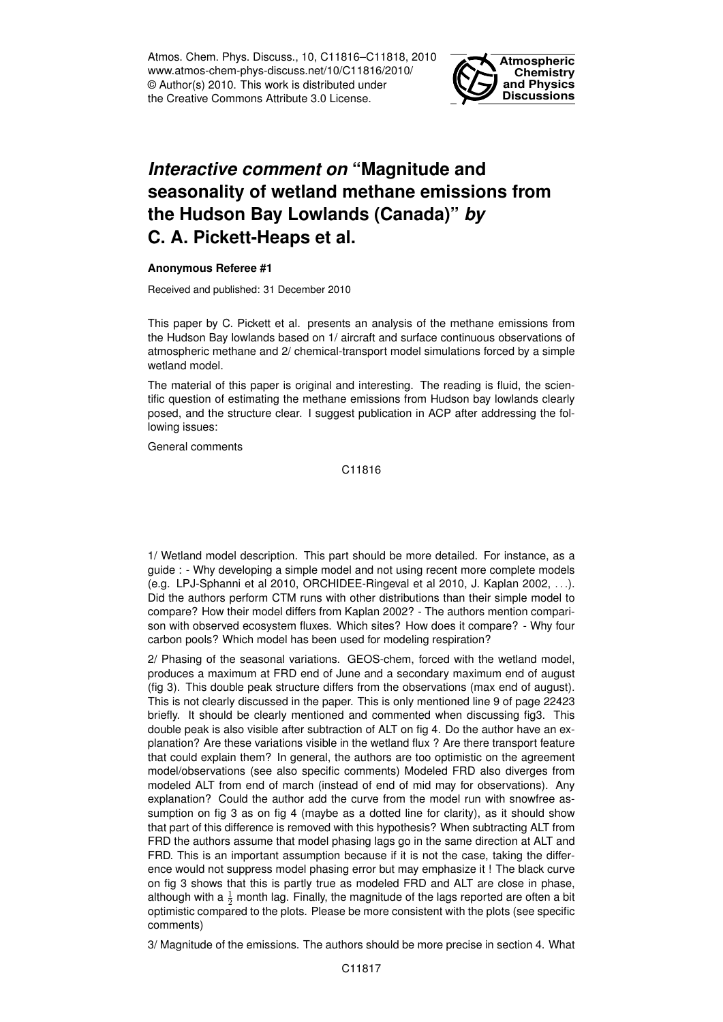Atmos. Chem. Phys. Discuss., 10, C11816–C11818, 2010 www.atmos-chem-phys-discuss.net/10/C11816/2010/ © Author(s) 2010. This work is distributed under the Creative Commons Attribute 3.0 License.



## *Interactive comment on* **"Magnitude and seasonality of wetland methane emissions from the Hudson Bay Lowlands (Canada)"** *by* **C. A. Pickett-Heaps et al.**

## **Anonymous Referee #1**

Received and published: 31 December 2010

This paper by C. Pickett et al. presents an analysis of the methane emissions from the Hudson Bay lowlands based on 1/ aircraft and surface continuous observations of atmospheric methane and 2/ chemical-transport model simulations forced by a simple wetland model.

The material of this paper is original and interesting. The reading is fluid, the scientific question of estimating the methane emissions from Hudson bay lowlands clearly posed, and the structure clear. I suggest publication in ACP after addressing the following issues:

General comments

C11816

1/ Wetland model description. This part should be more detailed. For instance, as a guide : - Why developing a simple model and not using recent more complete models (e.g. LPJ-Sphanni et al 2010, ORCHIDEE-Ringeval et al 2010, J. Kaplan 2002, . . .). Did the authors perform CTM runs with other distributions than their simple model to compare? How their model differs from Kaplan 2002? - The authors mention comparison with observed ecosystem fluxes. Which sites? How does it compare? - Why four carbon pools? Which model has been used for modeling respiration?

2/ Phasing of the seasonal variations. GEOS-chem, forced with the wetland model, produces a maximum at FRD end of June and a secondary maximum end of august (fig 3). This double peak structure differs from the observations (max end of august). This is not clearly discussed in the paper. This is only mentioned line 9 of page 22423 briefly. It should be clearly mentioned and commented when discussing fig3. This double peak is also visible after subtraction of ALT on fig 4. Do the author have an explanation? Are these variations visible in the wetland flux ? Are there transport feature that could explain them? In general, the authors are too optimistic on the agreement model/observations (see also specific comments) Modeled FRD also diverges from modeled ALT from end of march (instead of end of mid may for observations). Any explanation? Could the author add the curve from the model run with snowfree assumption on fig 3 as on fig 4 (maybe as a dotted line for clarity), as it should show that part of this difference is removed with this hypothesis? When subtracting ALT from FRD the authors assume that model phasing lags go in the same direction at ALT and FRD. This is an important assumption because if it is not the case, taking the difference would not suppress model phasing error but may emphasize it ! The black curve on fig 3 shows that this is partly true as modeled FRD and ALT are close in phase, although with a  $\frac{1}{2}$  month lag. Finally, the magnitude of the lags reported are often a bit optimistic compared to the plots. Please be more consistent with the plots (see specific comments)

3/ Magnitude of the emissions. The authors should be more precise in section 4. What